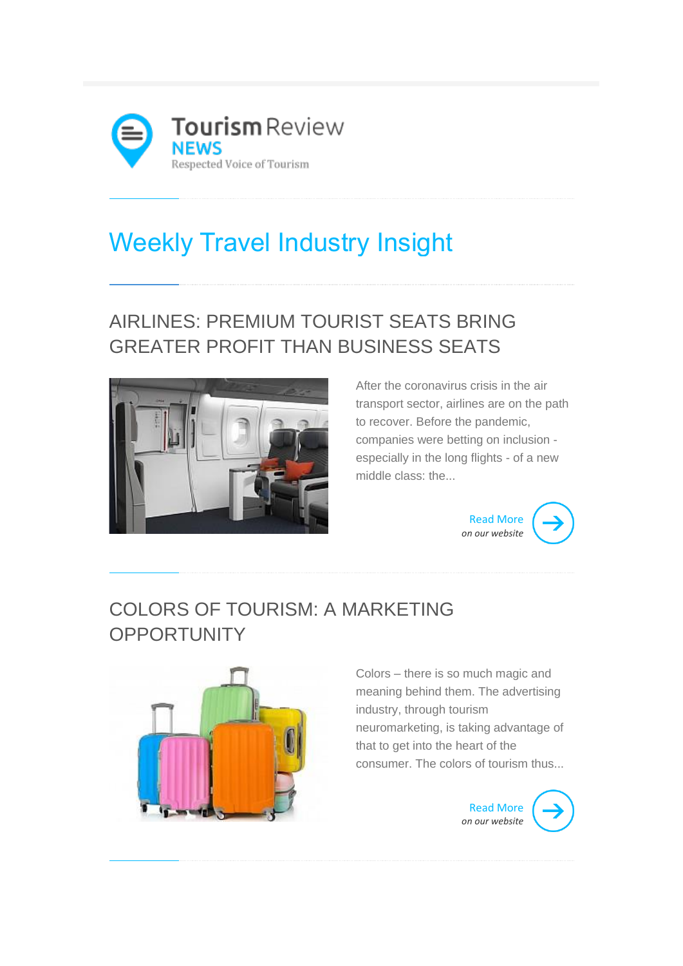

# Weekly Travel Industry Insight

# AIRLINES: PREMIUM TOURIST SEATS BRING GREATER PROFIT THAN BUSINESS SEATS



After the coronavirus crisis in the air transport sector, airlines are on the path to recover. Before the pandemic, companies were betting on inclusion especially in the long flights - of a new middle class: the...



#### COLORS OF TOURISM: A MARKETING **OPPORTUNITY**



Colors – there is so much magic and meaning behind them. The advertising industry, through tourism neuromarketing, is taking advantage of that to get into the heart of the consumer. The colors of tourism thus...

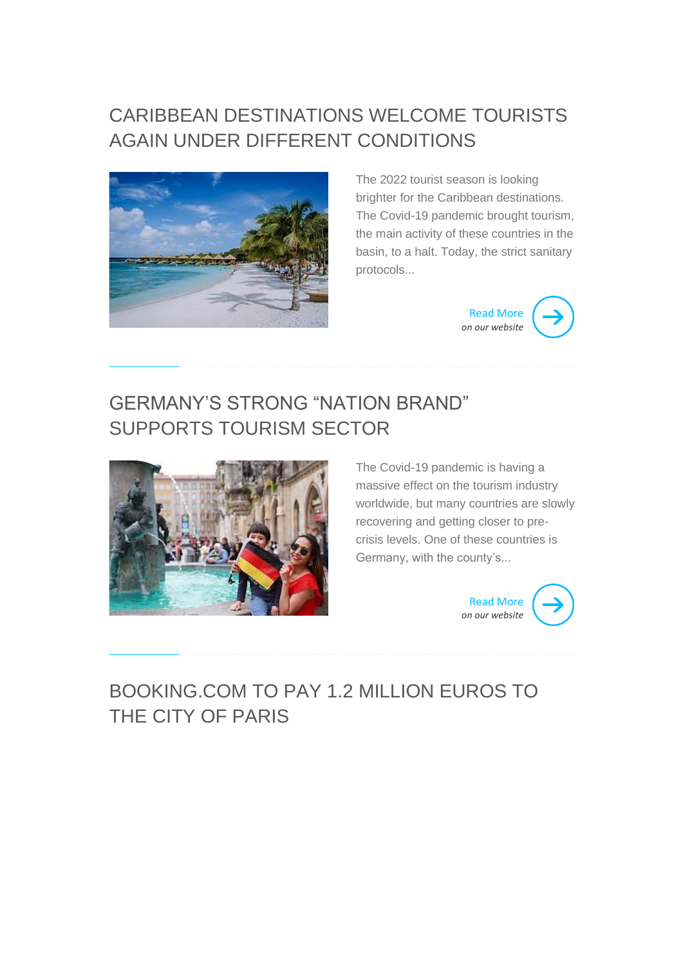# CARIBBEAN DESTINATIONS WELCOME TOURISTS AGAIN UNDER DIFFERENT CONDITIONS



The 2022 tourist season is looking brighter for the Caribbean destinations. The Covid-19 pandemic brought tourism, the main activity of these countries in the basin, to a halt. Today, the strict sanitary protocols...



## GERMANY'S STRONG "NATION BRAND" SUPPORTS TOURISM SECTOR



The Covid-19 pandemic is having a massive effect on the tourism industry worldwide, but many countries are slowly recovering and getting closer to precrisis levels. One of these countries is Germany, with the county's...



# BOOKING.COM TO PAY 1.2 MILLION EUROS TO THE CITY OF PARIS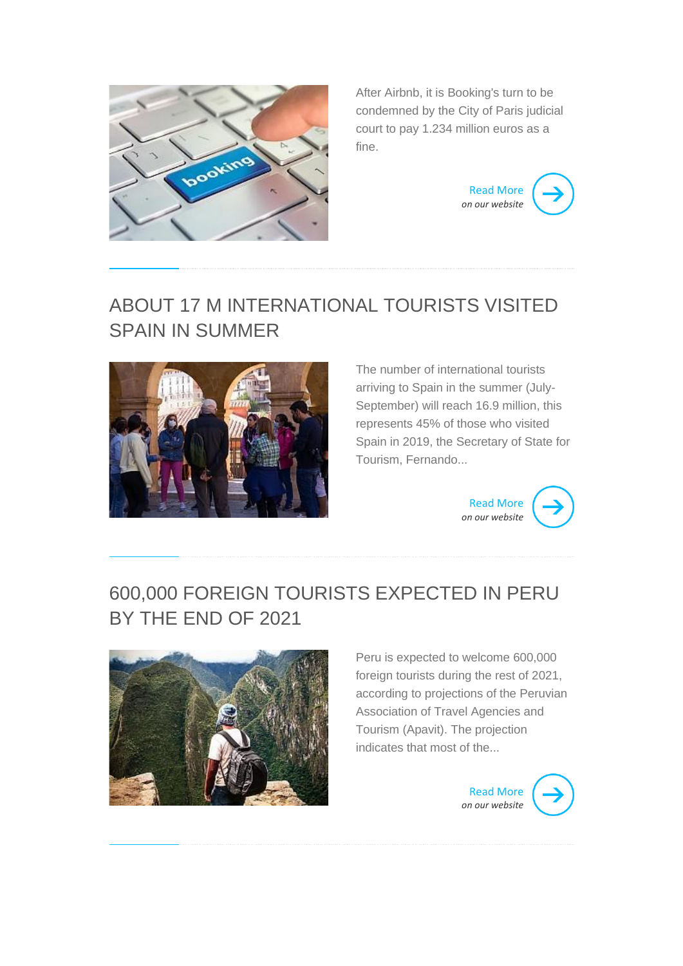

After Airbnb, it is Booking's turn to be condemned by the City of Paris judicial court to pay 1.234 million euros as a fine.



#### ABOUT 17 M INTERNATIONAL TOURISTS VISITED SPAIN IN SUMMER



The number of international tourists arriving to Spain in the summer (July-September) will reach 16.9 million, this represents 45% of those who visited Spain in 2019, the Secretary of State for Tourism, Fernando...



# 600,000 FOREIGN TOURISTS EXPECTED IN PERU BY THE END OF 2021



Peru is expected to welcome 600,000 foreign tourists during the rest of 2021, according to projections of the Peruvian Association of Travel Agencies and Tourism (Apavit). The projection indicates that most of the...

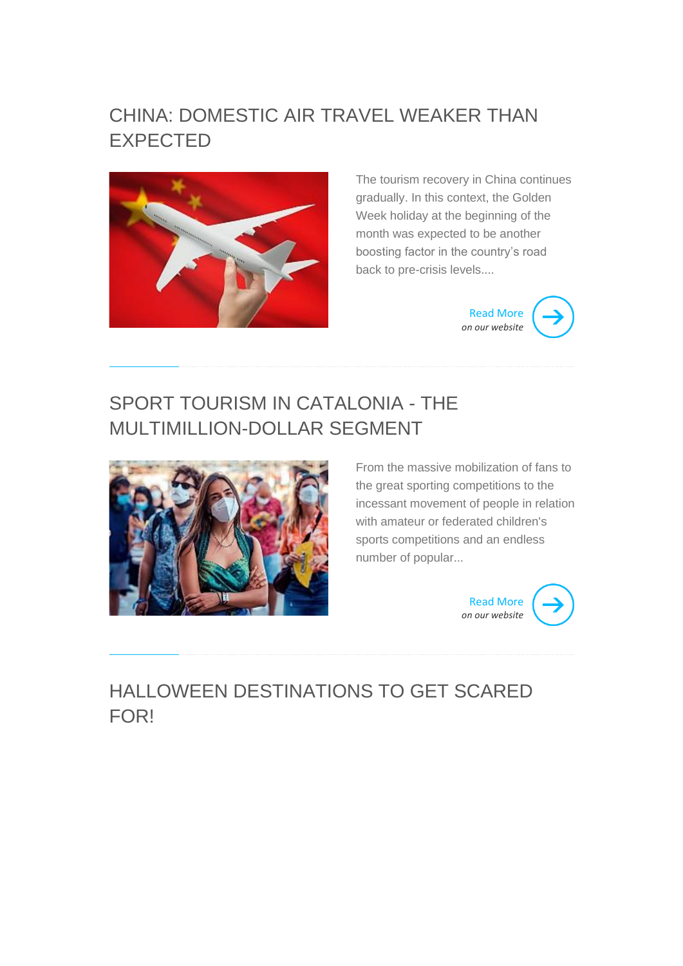#### CHINA: DOMESTIC AIR TRAVEL WEAKER THAN EXPECTED



The tourism recovery in China continues gradually. In this context, the Golden Week holiday at the beginning of the month was expected to be another boosting factor in the country's road back to pre-crisis levels....



# SPORT TOURISM IN CATALONIA - THE MULTIMILLION-DOLLAR SEGMENT



From the massive mobilization of fans to the great sporting competitions to the incessant movement of people in relation with amateur or federated children's sports competitions and an endless number of popular...



# HALLOWEEN DESTINATIONS TO GET SCARED FOR!